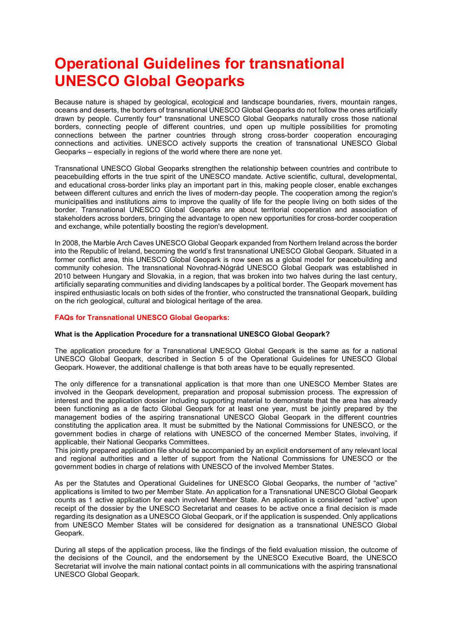# **Operational Guidelines for transnational UNESCO Global Geoparks**

Because nature is shaped by geological, ecological and landscape boundaries, rivers, mountain ranges, oceans and deserts, the borders of transnational UNESCO Global Geoparks do not follow the ones artificially drawn by people. Currently four\* transnational UNESCO Global Geoparks naturally cross those national borders, connecting people of different countries, und open up multiple possibilities for promoting connections between the partner countries through strong cross-border cooperation encouraging connections and activities. UNESCO actively supports the creation of transnational UNESCO Global Geoparks – especially in regions of the world where there are none yet.

Transnational UNESCO Global Geoparks strengthen the relationship between countries and contribute to peacebuilding efforts in the true spirit of the UNESCO mandate. Active scientific, cultural, developmental, and educational cross-border links play an important part in this, making people closer, enable exchanges between different cultures and enrich the lives of modern-day people. The cooperation among the region's municipalities and institutions aims to improve the quality of life for the people living on both sides of the border. Transnational UNESCO Global Geoparks are about territorial cooperation and association of stakeholders across borders, bringing the advantage to open new opportunities for cross-border cooperation and exchange, while potentially boosting the region's development.

In 2008, the Marble Arch Caves UNESCO Global Geopark expanded from Northern Ireland across the border into the Republic of Ireland, becoming the world's first transnational UNESCO Global Geopark. Situated in a former conflict area, this UNESCO Global Geopark is now seen as a global model for peacebuilding and community cohesion. The transnational Novohrad-Nógrád UNESCO Global Geopark was established in 2010 between Hungary and Slovakia, in a region, that was broken into two halves during the last century, artificially separating communities and dividing landscapes by a political border. The Geopark movement has inspired enthusiastic locals on both sides of the frontier, who constructed the transnational Geopark, building on the rich geological, cultural and biological heritage of the area.

## **FAQs for Transnational UNESCO Global Geoparks:**

## **What is the Application Procedure for a transnational UNESCO Global Geopark?**

The application procedure for a Transnational UNESCO Global Geopark is the same as for a national UNESCO Global Geopark, described in Section 5 of the Operational Guidelines for UNESCO Global Geopark. However, the additional challenge is that both areas have to be equally represented.

The only difference for a transnational application is that more than one UNESCO Member States are involved in the Geopark development, preparation and proposal submission process. The expression of interest and the application dossier including supporting material to demonstrate that the area has already been functioning as a de facto Global Geopark for at least one year, must be jointly prepared by the management bodies of the aspiring transnational UNESCO Global Geopark in the different countries constituting the application area. It must be submitted by the National Commissions for UNESCO, or the government bodies in charge of relations with UNESCO of the concerned Member States, involving, if applicable, their National Geoparks Committees.

This jointly prepared application file should be accompanied by an explicit endorsement of any relevant local and regional authorities and a letter of support from the National Commissions for UNESCO or the government bodies in charge of relations with UNESCO of the involved Member States.

As per the Statutes and Operational Guidelines for UNESCO Global Geoparks, the number of "active" applications is limited to two per Member State. An application for a Transnational UNESCO Global Geopark counts as 1 active application for each involved Member State. An application is considered "active" upon receipt of the dossier by the UNESCO Secretariat and ceases to be active once a final decision is made regarding its designation as a UNESCO Global Geopark, or if the application is suspended. Only applications from UNESCO Member States will be considered for designation as a transnational UNESCO Global Geopark.

During all steps of the application process, like the findings of the field evaluation mission, the outcome of the decisions of the Council, and the endorsement by the UNESCO Executive Board, the UNESCO Secretariat will involve the main national contact points in all communications with the aspiring transnational UNESCO Global Geopark.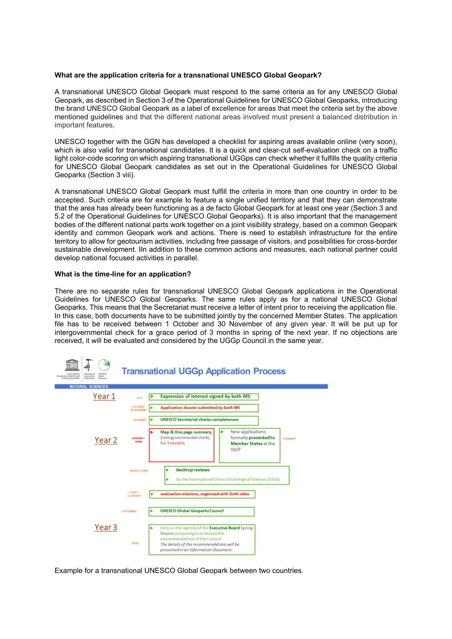## **What are the application criteria for a transnational UNESCO Global Geopark?**

A transnational UNESCO Global Geopark must respond to the same criteria as for any UNESCO Global Geopark, as described in Section 3 of the Operational Guidelines for UNESCO Global Geoparks, introducing the brand UNESCO Global Geopark as a label of excellence for areas that meet the criteria set by the above mentioned guidelines and that the different national areas involved must present a balanced distribution in important features.

UNESCO together with the GGN has developed a checklist for aspiring areas available online (very soon), which is also valid for transnational candidates. It is a quick and clear-cut self-evaluation check on a traffic light color-code scoring on which aspiring transnational UGGps can check whether it fulfills the quality criteria for UNESCO Global Geopark candidates as set out in the Operational Guidelines for UNESCO Global Geoparks (Section 3 viii).

A transnational UNESCO Global Geopark must fulfill the criteria in more than one country in order to be accepted. Such criteria are for example to feature a single unified territory and that they can demonstrate that the area has already been functioning as a de facto Global Geopark for at least one year (Section 3 and 5.2 of the Operational Guidelines for UNESCO Global Geoparks). It is also important that the management bodies of the different national parts work together on a joint visibility strategy, based on a common Geopark identity and common Geopark work and actions. There is need to establish infrastructure for the entire territory to allow for geotourism activities, including free passage of visitors, and possibilities for cross-border sustainable development. IIn addition to these common actions and measures, each national partner could develop national focused activities in parallel.

#### **What is the time-line for an application?**

There are no separate rules for transnational UNESCO Global Geopark applications in the Operational Guidelines for UNESCO Global Geoparks. The same rules apply as for a national UNESCO Global Geoparks. This means that the Secretariat must receive a letter of intent prior to receiving the application file. In this case, both documents have to be submitted jointly by the concerned Member States. The application file has to be received between 1 October and 30 November of any given year. It will be put up for intergovernmental check for a grace period of 3 months in spring of the next year. If no objections are received, it will be evaluated and considered by the UGGp Council in the same year.



Example for a transnational UNESCO Global Geopark between two countries.